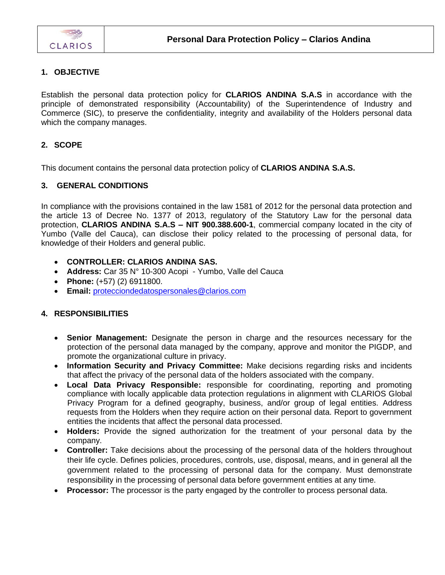

#### **1. OBJECTIVE**

Establish the personal data protection policy for **CLARIOS ANDINA S.A.S** in accordance with the principle of demonstrated responsibility (Accountability) of the Superintendence of Industry and Commerce (SIC), to preserve the confidentiality, integrity and availability of the Holders personal data which the company manages.

## **2. SCOPE**

This document contains the personal data protection policy of **CLARIOS ANDINA S.A.S.**

#### **3. GENERAL CONDITIONS**

In compliance with the provisions contained in the law 1581 of 2012 for the personal data protection and the article 13 of Decree No. 1377 of 2013, regulatory of the Statutory Law for the personal data protection, **CLARIOS ANDINA S.A.S – NIT 900.388.600-1**, commercial company located in the city of Yumbo (Valle del Cauca), can disclose their policy related to the processing of personal data, for knowledge of their Holders and general public.

- **CONTROLLER: CLARIOS ANDINA SAS.**
- **Address:** Car 35 N° 10-300 Acopi Yumbo, Valle del Cauca
- **Phone:** (+57) (2) 6911800.
- **Email:** [protecciondedatospersonales@clarios.com](mailto:protecciondedatospersonales@clarios.com)

#### **4. RESPONSIBILITIES**

- **Senior Management:** Designate the person in charge and the resources necessary for the protection of the personal data managed by the company, approve and monitor the PIGDP, and promote the organizational culture in privacy.
- **Information Security and Privacy Committee:** Make decisions regarding risks and incidents that affect the privacy of the personal data of the holders associated with the company.
- **Local Data Privacy Responsible:** responsible for coordinating, reporting and promoting compliance with locally applicable data protection regulations in alignment with CLARIOS Global Privacy Program for a defined geography, business, and/or group of legal entities. Address requests from the Holders when they require action on their personal data. Report to government entities the incidents that affect the personal data processed.
- **Holders:** Provide the signed authorization for the treatment of your personal data by the company.
- **Controller:** Take decisions about the processing of the personal data of the holders throughout their life cycle. Defines policies, procedures, controls, use, disposal, means, and in general all the government related to the processing of personal data for the company. Must demonstrate responsibility in the processing of personal data before government entities at any time.
- **Processor:** The processor is the party engaged by the controller to process personal data.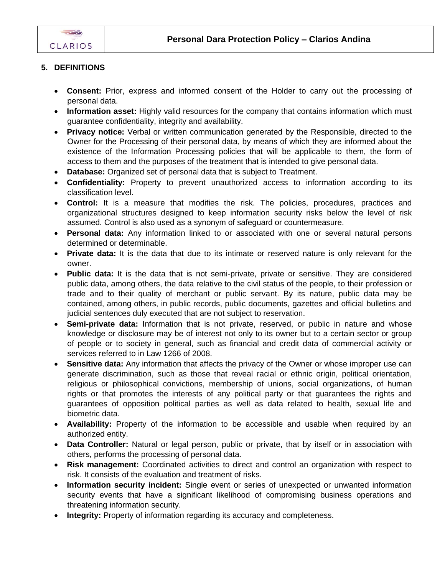

## **5. DEFINITIONS**

- **Consent:** Prior, express and informed consent of the Holder to carry out the processing of personal data.
- **Information asset:** Highly valid resources for the company that contains information which must guarantee confidentiality, integrity and availability.
- **Privacy notice:** Verbal or written communication generated by the Responsible, directed to the Owner for the Processing of their personal data, by means of which they are informed about the existence of the Information Processing policies that will be applicable to them, the form of access to them and the purposes of the treatment that is intended to give personal data.
- **Database:** Organized set of personal data that is subject to Treatment.
- **Confidentiality:** Property to prevent unauthorized access to information according to its classification level.
- **Control:** It is a measure that modifies the risk. The policies, procedures, practices and organizational structures designed to keep information security risks below the level of risk assumed. Control is also used as a synonym of safeguard or countermeasure.
- **Personal data:** Any information linked to or associated with one or several natural persons determined or determinable.
- **Private data:** It is the data that due to its intimate or reserved nature is only relevant for the owner.
- **Public data:** It is the data that is not semi-private, private or sensitive. They are considered public data, among others, the data relative to the civil status of the people, to their profession or trade and to their quality of merchant or public servant. By its nature, public data may be contained, among others, in public records, public documents, gazettes and official bulletins and judicial sentences duly executed that are not subject to reservation.
- **Semi-private data:** Information that is not private, reserved, or public in nature and whose knowledge or disclosure may be of interest not only to its owner but to a certain sector or group of people or to society in general, such as financial and credit data of commercial activity or services referred to in Law 1266 of 2008.
- **Sensitive data:** Any information that affects the privacy of the Owner or whose improper use can generate discrimination, such as those that reveal racial or ethnic origin, political orientation, religious or philosophical convictions, membership of unions, social organizations, of human rights or that promotes the interests of any political party or that guarantees the rights and guarantees of opposition political parties as well as data related to health, sexual life and biometric data.
- **Availability:** Property of the information to be accessible and usable when required by an authorized entity.
- **Data Controller:** Natural or legal person, public or private, that by itself or in association with others, performs the processing of personal data.
- **Risk management:** Coordinated activities to direct and control an organization with respect to risk. It consists of the evaluation and treatment of risks.
- **Information security incident:** Single event or series of unexpected or unwanted information security events that have a significant likelihood of compromising business operations and threatening information security.
- **Integrity:** Property of information regarding its accuracy and completeness.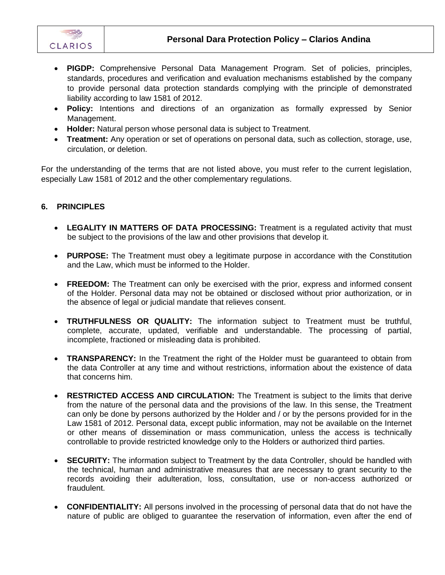

- **PIGDP:** Comprehensive Personal Data Management Program. Set of policies, principles, standards, procedures and verification and evaluation mechanisms established by the company to provide personal data protection standards complying with the principle of demonstrated liability according to law 1581 of 2012.
- **Policy:** Intentions and directions of an organization as formally expressed by Senior Management.
- **Holder:** Natural person whose personal data is subject to Treatment.
- **Treatment:** Any operation or set of operations on personal data, such as collection, storage, use, circulation, or deletion.

For the understanding of the terms that are not listed above, you must refer to the current legislation, especially Law 1581 of 2012 and the other complementary regulations.

## **6. PRINCIPLES**

- **LEGALITY IN MATTERS OF DATA PROCESSING:** Treatment is a regulated activity that must be subject to the provisions of the law and other provisions that develop it.
- **PURPOSE:** The Treatment must obey a legitimate purpose in accordance with the Constitution and the Law, which must be informed to the Holder.
- **FREEDOM:** The Treatment can only be exercised with the prior, express and informed consent of the Holder. Personal data may not be obtained or disclosed without prior authorization, or in the absence of legal or judicial mandate that relieves consent.
- **TRUTHFULNESS OR QUALITY:** The information subject to Treatment must be truthful, complete, accurate, updated, verifiable and understandable. The processing of partial, incomplete, fractioned or misleading data is prohibited.
- **TRANSPARENCY:** In the Treatment the right of the Holder must be guaranteed to obtain from the data Controller at any time and without restrictions, information about the existence of data that concerns him.
- **RESTRICTED ACCESS AND CIRCULATION:** The Treatment is subject to the limits that derive from the nature of the personal data and the provisions of the law. In this sense, the Treatment can only be done by persons authorized by the Holder and / or by the persons provided for in the Law 1581 of 2012. Personal data, except public information, may not be available on the Internet or other means of dissemination or mass communication, unless the access is technically controllable to provide restricted knowledge only to the Holders or authorized third parties.
- **SECURITY:** The information subject to Treatment by the data Controller, should be handled with the technical, human and administrative measures that are necessary to grant security to the records avoiding their adulteration, loss, consultation, use or non-access authorized or fraudulent.
- **CONFIDENTIALITY:** All persons involved in the processing of personal data that do not have the nature of public are obliged to guarantee the reservation of information, even after the end of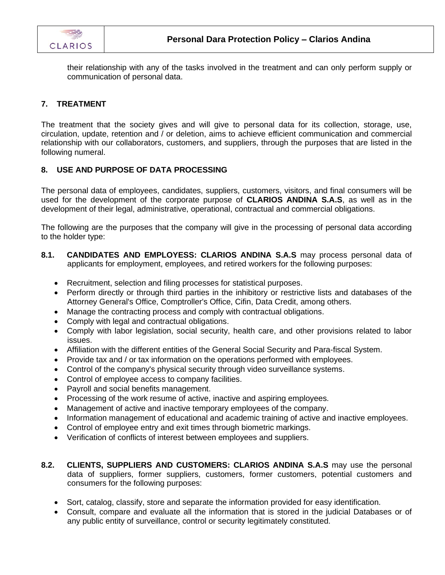

their relationship with any of the tasks involved in the treatment and can only perform supply or communication of personal data.

## **7. TREATMENT**

The treatment that the society gives and will give to personal data for its collection, storage, use, circulation, update, retention and / or deletion, aims to achieve efficient communication and commercial relationship with our collaborators, customers, and suppliers, through the purposes that are listed in the following numeral.

## **8. USE AND PURPOSE OF DATA PROCESSING**

The personal data of employees, candidates, suppliers, customers, visitors, and final consumers will be used for the development of the corporate purpose of **CLARIOS ANDINA S.A.S**, as well as in the development of their legal, administrative, operational, contractual and commercial obligations.

The following are the purposes that the company will give in the processing of personal data according to the holder type:

- **8.1. CANDIDATES AND EMPLOYESS: CLARIOS ANDINA S.A.S** may process personal data of applicants for employment, employees, and retired workers for the following purposes:
	- Recruitment, selection and filing processes for statistical purposes.
	- Perform directly or through third parties in the inhibitory or restrictive lists and databases of the Attorney General's Office, Comptroller's Office, Cifin, Data Credit, among others.
	- Manage the contracting process and comply with contractual obligations.
	- Comply with legal and contractual obligations.
	- Comply with labor legislation, social security, health care, and other provisions related to labor issues.
	- Affiliation with the different entities of the General Social Security and Para-fiscal System.
	- Provide tax and / or tax information on the operations performed with employees.
	- Control of the company's physical security through video surveillance systems.
	- Control of employee access to company facilities.
	- Payroll and social benefits management.
	- Processing of the work resume of active, inactive and aspiring employees.
	- Management of active and inactive temporary employees of the company.
	- Information management of educational and academic training of active and inactive employees.
	- Control of employee entry and exit times through biometric markings.
	- Verification of conflicts of interest between employees and suppliers.
- **8.2. CLIENTS, SUPPLIERS AND CUSTOMERS: CLARIOS ANDINA S.A.S** may use the personal data of suppliers, former suppliers, customers, former customers, potential customers and consumers for the following purposes:
	- Sort, catalog, classify, store and separate the information provided for easy identification.
	- Consult, compare and evaluate all the information that is stored in the judicial Databases or of any public entity of surveillance, control or security legitimately constituted.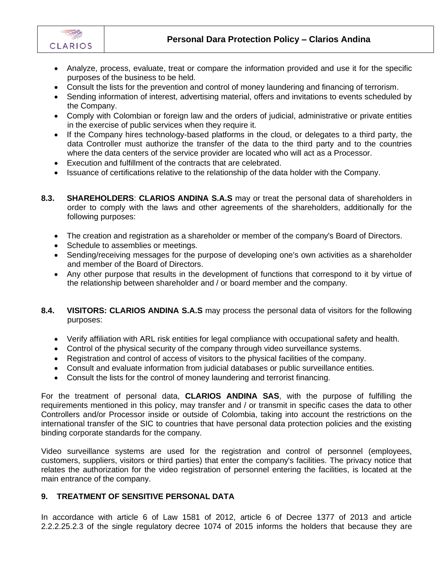

- Analyze, process, evaluate, treat or compare the information provided and use it for the specific purposes of the business to be held.
- Consult the lists for the prevention and control of money laundering and financing of terrorism.
- Sending information of interest, advertising material, offers and invitations to events scheduled by the Company.
- Comply with Colombian or foreign law and the orders of judicial, administrative or private entities in the exercise of public services when they require it.
- If the Company hires technology-based platforms in the cloud, or delegates to a third party, the data Controller must authorize the transfer of the data to the third party and to the countries where the data centers of the service provider are located who will act as a Processor.
- Execution and fulfillment of the contracts that are celebrated.
- Issuance of certifications relative to the relationship of the data holder with the Company.
- **8.3. SHAREHOLDERS**: **CLARIOS ANDINA S.A.S** may or treat the personal data of shareholders in order to comply with the laws and other agreements of the shareholders, additionally for the following purposes:
	- The creation and registration as a shareholder or member of the company's Board of Directors.
	- Schedule to assemblies or meetings.
	- Sending/receiving messages for the purpose of developing one's own activities as a shareholder and member of the Board of Directors.
	- Any other purpose that results in the development of functions that correspond to it by virtue of the relationship between shareholder and / or board member and the company.
- **8.4. VISITORS: CLARIOS ANDINA S.A.S** may process the personal data of visitors for the following purposes:
	- Verify affiliation with ARL risk entities for legal compliance with occupational safety and health.
	- Control of the physical security of the company through video surveillance systems.
	- Registration and control of access of visitors to the physical facilities of the company.
	- Consult and evaluate information from judicial databases or public surveillance entities.
	- Consult the lists for the control of money laundering and terrorist financing.

For the treatment of personal data, **CLARIOS ANDINA SAS**, with the purpose of fulfilling the requirements mentioned in this policy, may transfer and / or transmit in specific cases the data to other Controllers and/or Processor inside or outside of Colombia, taking into account the restrictions on the international transfer of the SIC to countries that have personal data protection policies and the existing binding corporate standards for the company.

Video surveillance systems are used for the registration and control of personnel (employees, customers, suppliers, visitors or third parties) that enter the company's facilities. The privacy notice that relates the authorization for the video registration of personnel entering the facilities, is located at the main entrance of the company.

#### **9. TREATMENT OF SENSITIVE PERSONAL DATA**

In accordance with article 6 of Law 1581 of 2012, article 6 of Decree 1377 of 2013 and article 2.2.2.25.2.3 of the single regulatory decree 1074 of 2015 informs the holders that because they are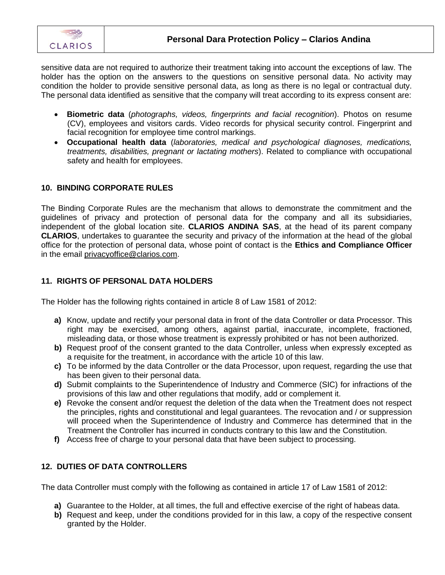

sensitive data are not required to authorize their treatment taking into account the exceptions of law. The holder has the option on the answers to the questions on sensitive personal data. No activity may condition the holder to provide sensitive personal data, as long as there is no legal or contractual duty. The personal data identified as sensitive that the company will treat according to its express consent are:

- **Biometric data** (*photographs, videos, fingerprints and facial recognition*). Photos on resume (CV), employees and visitors cards. Video records for physical security control. Fingerprint and facial recognition for employee time control markings.
- **Occupational health data** (*laboratories, medical and psychological diagnoses, medications, treatments, disabilities, pregnant or lactating mothers*). Related to compliance with occupational safety and health for employees.

## **10. BINDING CORPORATE RULES**

The Binding Corporate Rules are the mechanism that allows to demonstrate the commitment and the guidelines of privacy and protection of personal data for the company and all its subsidiaries, independent of the global location site. **CLARIOS ANDINA SAS**, at the head of its parent company **CLARIOS**, undertakes to guarantee the security and privacy of the information at the head of the global office for the protection of personal data, whose point of contact is the **Ethics and Compliance Officer** in the email privacyoffice@clarios.com.

#### **11. RIGHTS OF PERSONAL DATA HOLDERS**

The Holder has the following rights contained in article 8 of Law 1581 of 2012:

- **a)** Know, update and rectify your personal data in front of the data Controller or data Processor. This right may be exercised, among others, against partial, inaccurate, incomplete, fractioned, misleading data, or those whose treatment is expressly prohibited or has not been authorized.
- **b)** Request proof of the consent granted to the data Controller, unless when expressly excepted as a requisite for the treatment, in accordance with the article 10 of this law.
- **c)** To be informed by the data Controller or the data Processor, upon request, regarding the use that has been given to their personal data.
- **d)** Submit complaints to the Superintendence of Industry and Commerce (SIC) for infractions of the provisions of this law and other regulations that modify, add or complement it.
- **e)** Revoke the consent and/or request the deletion of the data when the Treatment does not respect the principles, rights and constitutional and legal guarantees. The revocation and / or suppression will proceed when the Superintendence of Industry and Commerce has determined that in the Treatment the Controller has incurred in conducts contrary to this law and the Constitution.
- **f)** Access free of charge to your personal data that have been subject to processing.

## **12. DUTIES OF DATA CONTROLLERS**

The data Controller must comply with the following as contained in article 17 of Law 1581 of 2012:

- **a)** Guarantee to the Holder, at all times, the full and effective exercise of the right of habeas data.
- **b)** Request and keep, under the conditions provided for in this law, a copy of the respective consent granted by the Holder.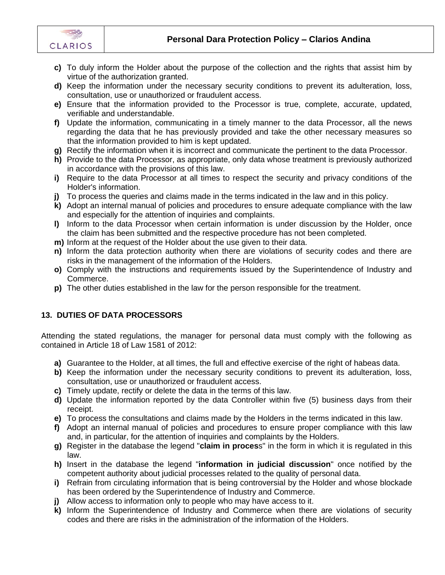

- **c)** To duly inform the Holder about the purpose of the collection and the rights that assist him by virtue of the authorization granted.
- **d)** Keep the information under the necessary security conditions to prevent its adulteration, loss, consultation, use or unauthorized or fraudulent access.
- **e)** Ensure that the information provided to the Processor is true, complete, accurate, updated, verifiable and understandable.
- **f)** Update the information, communicating in a timely manner to the data Processor, all the news regarding the data that he has previously provided and take the other necessary measures so that the information provided to him is kept updated.
- **g)** Rectify the information when it is incorrect and communicate the pertinent to the data Processor.
- **h)** Provide to the data Processor, as appropriate, only data whose treatment is previously authorized in accordance with the provisions of this law.
- **i)** Require to the data Processor at all times to respect the security and privacy conditions of the Holder's information.
- **j)** To process the queries and claims made in the terms indicated in the law and in this policy.
- **k)** Adopt an internal manual of policies and procedures to ensure adequate compliance with the law and especially for the attention of inquiries and complaints.
- **l)** Inform to the data Processor when certain information is under discussion by the Holder, once the claim has been submitted and the respective procedure has not been completed.
- **m)** Inform at the request of the Holder about the use given to their data.
- **n)** Inform the data protection authority when there are violations of security codes and there are risks in the management of the information of the Holders.
- **o)** Comply with the instructions and requirements issued by the Superintendence of Industry and Commerce.
- **p)** The other duties established in the law for the person responsible for the treatment.

# **13. DUTIES OF DATA PROCESSORS**

Attending the stated regulations, the manager for personal data must comply with the following as contained in Article 18 of Law 1581 of 2012:

- **a)** Guarantee to the Holder, at all times, the full and effective exercise of the right of habeas data.
- **b)** Keep the information under the necessary security conditions to prevent its adulteration, loss, consultation, use or unauthorized or fraudulent access.
- **c)** Timely update, rectify or delete the data in the terms of this law.
- **d)** Update the information reported by the data Controller within five (5) business days from their receipt.
- **e)** To process the consultations and claims made by the Holders in the terms indicated in this law.
- **f)** Adopt an internal manual of policies and procedures to ensure proper compliance with this law and, in particular, for the attention of inquiries and complaints by the Holders.
- **g)** Register in the database the legend "**claim in proces**s" in the form in which it is regulated in this law.
- **h)** Insert in the database the legend "**information in judicial discussion**" once notified by the competent authority about judicial processes related to the quality of personal data.
- **i)** Refrain from circulating information that is being controversial by the Holder and whose blockade has been ordered by the Superintendence of Industry and Commerce.
- **j)** Allow access to information only to people who may have access to it.
- **k)** Inform the Superintendence of Industry and Commerce when there are violations of security codes and there are risks in the administration of the information of the Holders.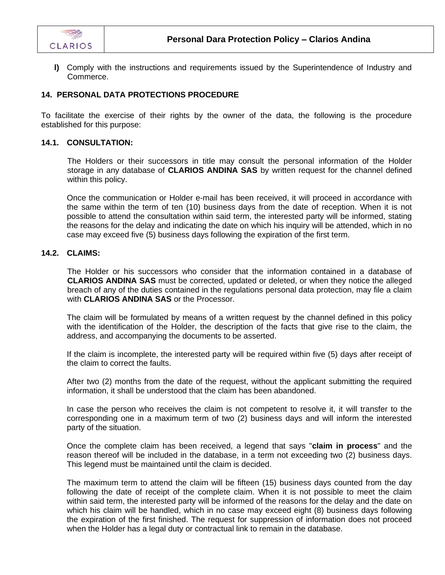

**l)** Comply with the instructions and requirements issued by the Superintendence of Industry and Commerce.

#### **14. PERSONAL DATA PROTECTIONS PROCEDURE**

To facilitate the exercise of their rights by the owner of the data, the following is the procedure established for this purpose:

#### **14.1. CONSULTATION:**

The Holders or their successors in title may consult the personal information of the Holder storage in any database of **CLARIOS ANDINA SAS** by written request for the channel defined within this policy.

Once the communication or Holder e-mail has been received, it will proceed in accordance with the same within the term of ten (10) business days from the date of reception. When it is not possible to attend the consultation within said term, the interested party will be informed, stating the reasons for the delay and indicating the date on which his inquiry will be attended, which in no case may exceed five (5) business days following the expiration of the first term.

## **14.2. CLAIMS:**

The Holder or his successors who consider that the information contained in a database of **CLARIOS ANDINA SAS** must be corrected, updated or deleted, or when they notice the alleged breach of any of the duties contained in the regulations personal data protection, may file a claim with **CLARIOS ANDINA SAS** or the Processor.

The claim will be formulated by means of a written request by the channel defined in this policy with the identification of the Holder, the description of the facts that give rise to the claim, the address, and accompanying the documents to be asserted.

If the claim is incomplete, the interested party will be required within five (5) days after receipt of the claim to correct the faults.

After two (2) months from the date of the request, without the applicant submitting the required information, it shall be understood that the claim has been abandoned.

In case the person who receives the claim is not competent to resolve it, it will transfer to the corresponding one in a maximum term of two (2) business days and will inform the interested party of the situation.

Once the complete claim has been received, a legend that says "**claim in process**" and the reason thereof will be included in the database, in a term not exceeding two (2) business days. This legend must be maintained until the claim is decided.

The maximum term to attend the claim will be fifteen (15) business days counted from the day following the date of receipt of the complete claim. When it is not possible to meet the claim within said term, the interested party will be informed of the reasons for the delay and the date on which his claim will be handled, which in no case may exceed eight (8) business days following the expiration of the first finished. The request for suppression of information does not proceed when the Holder has a legal duty or contractual link to remain in the database.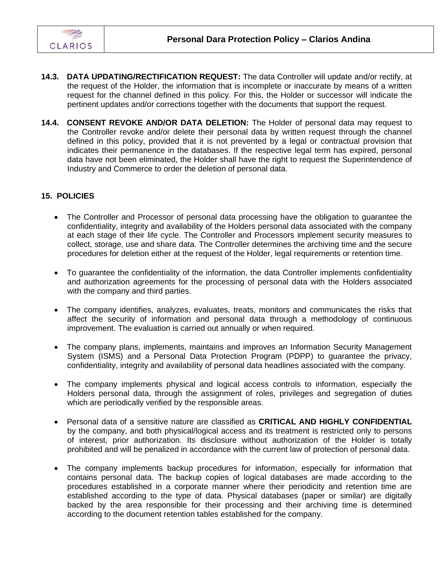

- **14.3. DATA UPDATING/RECTIFICATION REQUEST:** The data Controller will update and/or rectify, at the request of the Holder, the information that is incomplete or inaccurate by means of a written request for the channel defined in this policy. For this, the Holder or successor will indicate the pertinent updates and/or corrections together with the documents that support the request.
- **14.4. CONSENT REVOKE AND/OR DATA DELETION:** The Holder of personal data may request to the Controller revoke and/or delete their personal data by written request through the channel defined in this policy, provided that it is not prevented by a legal or contractual provision that indicates their permanence in the databases. If the respective legal term has expired, personal data have not been eliminated, the Holder shall have the right to request the Superintendence of Industry and Commerce to order the deletion of personal data.

## **15. POLICIES**

- The Controller and Processor of personal data processing have the obligation to guarantee the confidentiality, integrity and availability of the Holders personal data associated with the company at each stage of their life cycle. The Controller and Processors implement security measures to collect, storage, use and share data. The Controller determines the archiving time and the secure procedures for deletion either at the request of the Holder, legal requirements or retention time.
- To guarantee the confidentiality of the information, the data Controller implements confidentiality and authorization agreements for the processing of personal data with the Holders associated with the company and third parties.
- The company identifies, analyzes, evaluates, treats, monitors and communicates the risks that affect the security of information and personal data through a methodology of continuous improvement. The evaluation is carried out annually or when required.
- The company plans, implements, maintains and improves an Information Security Management System (ISMS) and a Personal Data Protection Program (PDPP) to guarantee the privacy, confidentiality, integrity and availability of personal data headlines associated with the company.
- The company implements physical and logical access controls to information, especially the Holders personal data, through the assignment of roles, privileges and segregation of duties which are periodically verified by the responsible areas.
- Personal data of a sensitive nature are classified as **CRITICAL AND HIGHLY CONFIDENTIAL** by the company, and both physical/logical access and its treatment is restricted only to persons of interest, prior authorization. Its disclosure without authorization of the Holder is totally prohibited and will be penalized in accordance with the current law of protection of personal data.
- The company implements backup procedures for information, especially for information that contains personal data. The backup copies of logical databases are made according to the procedures established in a corporate manner where their periodicity and retention time are established according to the type of data. Physical databases (paper or similar) are digitally backed by the area responsible for their processing and their archiving time is determined according to the document retention tables established for the company.